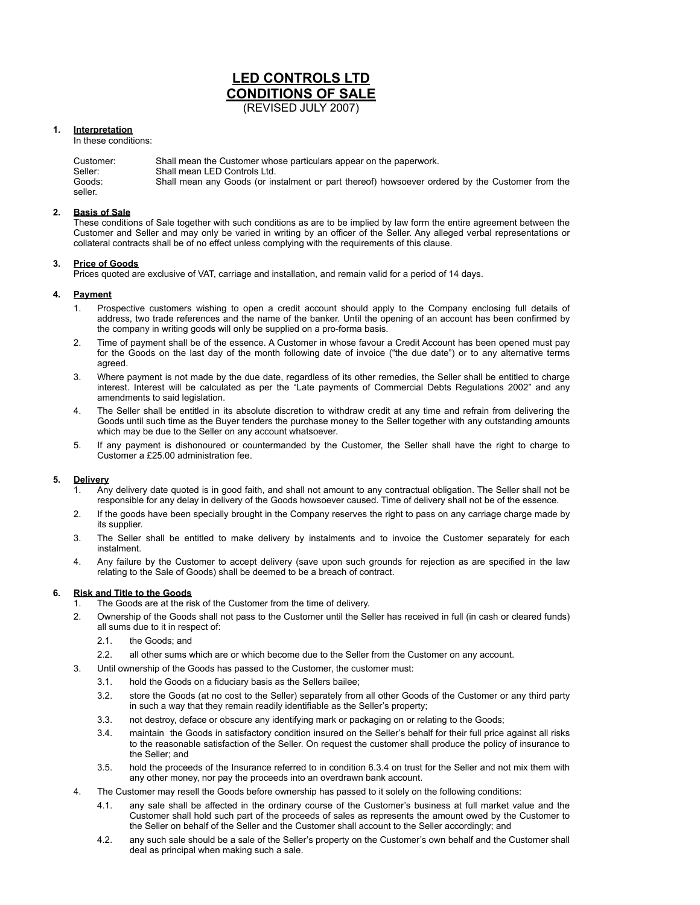# **LED CONTROLS LTD CONDITIONS OF SALE** (REVISED JULY 2007)

**1. Interpretation**

In these conditions:

| Customer:         | Shall mean the Customer whose particulars appear on the paperwork.                              |
|-------------------|-------------------------------------------------------------------------------------------------|
| Seller:           | Shall mean LED Controls Ltd.                                                                    |
| Goods:<br>seller. | Shall mean any Goods (or instalment or part thereof) howsoever ordered by the Customer from the |

## **2. Basis of Sale**

These conditions of Sale together with such conditions as are to be implied by law form the entire agreement between the Customer and Seller and may only be varied in writing by an officer of the Seller. Any alleged verbal representations or collateral contracts shall be of no effect unless complying with the requirements of this clause.

#### **3. Price of Goods**

Prices quoted are exclusive of VAT, carriage and installation, and remain valid for a period of 14 days.

# **4. Payment**

- 1. Prospective customers wishing to open a credit account should apply to the Company enclosing full details of address, two trade references and the name of the banker. Until the opening of an account has been confirmed by the company in writing goods will only be supplied on a pro-forma basis.
- 2. Time of payment shall be of the essence. A Customer in whose favour a Credit Account has been opened must pay for the Goods on the last day of the month following date of invoice ("the due date") or to any alternative terms agreed.
- 3. Where payment is not made by the due date, regardless of its other remedies, the Seller shall be entitled to charge interest. Interest will be calculated as per the "Late payments of Commercial Debts Regulations 2002" and any amendments to said legislation.
- 4. The Seller shall be entitled in its absolute discretion to withdraw credit at any time and refrain from delivering the Goods until such time as the Buyer tenders the purchase money to the Seller together with any outstanding amounts which may be due to the Seller on any account whatsoever.
- 5. If any payment is dishonoured or countermanded by the Customer, the Seller shall have the right to charge to Customer a £25.00 administration fee.

# **5. Delivery**

- 1. Any delivery date quoted is in good faith, and shall not amount to any contractual obligation. The Seller shall not be responsible for any delay in delivery of the Goods howsoever caused. Time of delivery shall not be of the essence.
- 2. If the goods have been specially brought in the Company reserves the right to pass on any carriage charge made by its supplier.
- 3. The Seller shall be entitled to make delivery by instalments and to invoice the Customer separately for each instalment.
- 4. Any failure by the Customer to accept delivery (save upon such grounds for rejection as are specified in the law relating to the Sale of Goods) shall be deemed to be a breach of contract.

# **6. Risk and Title to the Goods**

- 1. The Goods are at the risk of the Customer from the time of delivery.
- 2. Ownership of the Goods shall not pass to the Customer until the Seller has received in full (in cash or cleared funds) all sums due to it in respect of:
	- 2.1. the Goods; and
	- 2.2. all other sums which are or which become due to the Seller from the Customer on any account.
- 3. Until ownership of the Goods has passed to the Customer, the customer must:
	- 3.1. hold the Goods on a fiduciary basis as the Sellers bailee;
	- 3.2. store the Goods (at no cost to the Seller) separately from all other Goods of the Customer or any third party in such a way that they remain readily identifiable as the Seller's property;
	- 3.3. not destroy, deface or obscure any identifying mark or packaging on or relating to the Goods;
	- 3.4. maintain the Goods in satisfactory condition insured on the Seller's behalf for their full price against all risks to the reasonable satisfaction of the Seller. On request the customer shall produce the policy of insurance to the Seller; and
	- 3.5. hold the proceeds of the Insurance referred to in condition 6.3.4 on trust for the Seller and not mix them with any other money, nor pay the proceeds into an overdrawn bank account.
- 4. The Customer may resell the Goods before ownership has passed to it solely on the following conditions:
	- 4.1. any sale shall be affected in the ordinary course of the Customer's business at full market value and the Customer shall hold such part of the proceeds of sales as represents the amount owed by the Customer to the Seller on behalf of the Seller and the Customer shall account to the Seller accordingly; and
	- 4.2. any such sale should be a sale of the Seller's property on the Customer's own behalf and the Customer shall deal as principal when making such a sale.